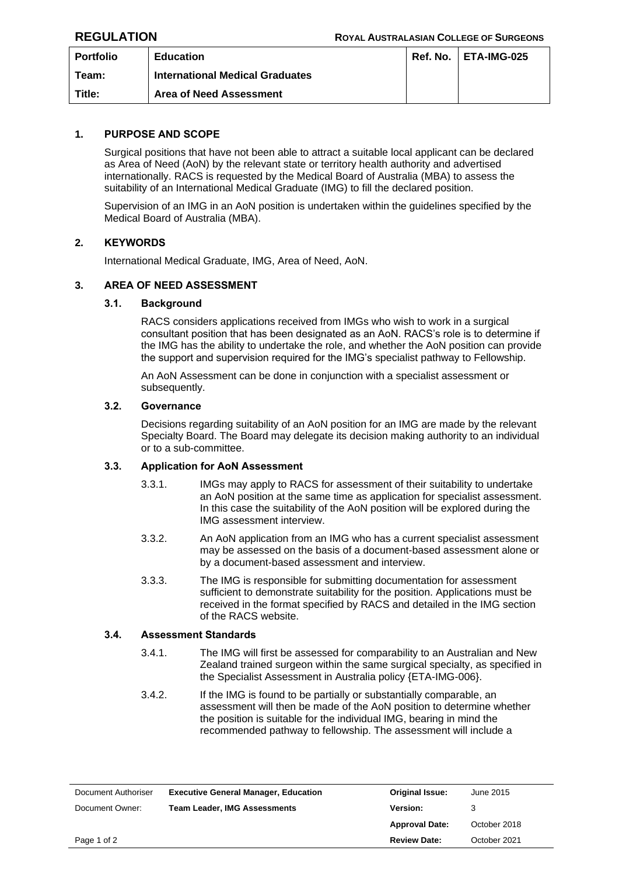| <b>Portfolio</b> | <b>Education</b>                       | Ref. No. | ETA-IMG-025 |
|------------------|----------------------------------------|----------|-------------|
| Team:            | <b>International Medical Graduates</b> |          |             |
| Title:           | <b>Area of Need Assessment</b>         |          |             |

# **1. PURPOSE AND SCOPE**

Surgical positions that have not been able to attract a suitable local applicant can be declared as Area of Need (AoN) by the relevant state or territory health authority and advertised internationally. RACS is requested by the Medical Board of Australia (MBA) to assess the suitability of an International Medical Graduate (IMG) to fill the declared position.

Supervision of an IMG in an AoN position is undertaken within the guidelines specified by the Medical Board of Australia (MBA).

## **2. KEYWORDS**

International Medical Graduate, IMG, Area of Need, AoN.

# **3. AREA OF NEED ASSESSMENT**

## **3.1. Background**

RACS considers applications received from IMGs who wish to work in a surgical consultant position that has been designated as an AoN. RACS's role is to determine if the IMG has the ability to undertake the role, and whether the AoN position can provide the support and supervision required for the IMG's specialist pathway to Fellowship.

An AoN Assessment can be done in conjunction with a specialist assessment or subsequently.

#### **3.2. Governance**

Decisions regarding suitability of an AoN position for an IMG are made by the relevant Specialty Board. The Board may delegate its decision making authority to an individual or to a sub-committee.

# **3.3. Application for AoN Assessment**

- 3.3.1. IMGs may apply to RACS for assessment of their suitability to undertake an AoN position at the same time as application for specialist assessment. In this case the suitability of the AoN position will be explored during the IMG assessment interview.
- 3.3.2. An AoN application from an IMG who has a current specialist assessment may be assessed on the basis of a document-based assessment alone or by a document-based assessment and interview.
- 3.3.3. The IMG is responsible for submitting documentation for assessment sufficient to demonstrate suitability for the position. Applications must be received in the format specified by RACS and detailed in the IMG section of the RACS website.

## **3.4. Assessment Standards**

- 3.4.1. The IMG will first be assessed for comparability to an Australian and New Zealand trained surgeon within the same surgical specialty, as specified in the Specialist Assessment in Australia policy {ETA-IMG-006}.
- 3.4.2. If the IMG is found to be partially or substantially comparable, an assessment will then be made of the AoN position to determine whether the position is suitable for the individual IMG, bearing in mind the recommended pathway to fellowship. The assessment will include a

| Document Authoriser | <b>Executive General Manager, Education</b> | <b>Original Issue:</b> | June 2015    |
|---------------------|---------------------------------------------|------------------------|--------------|
| Document Owner:     | <b>Team Leader, IMG Assessments</b>         | <b>Version:</b>        |              |
|                     |                                             | <b>Approval Date:</b>  | October 2018 |
| Page 1 of 2         |                                             | <b>Review Date:</b>    | October 2021 |